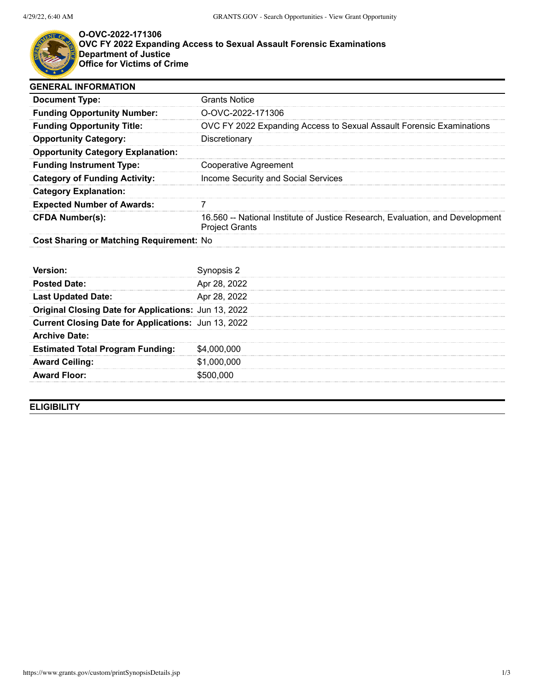

## **O-OVC-2022-171306 OVC FY 2022 Expanding Access to Sexual Assault Forensic Examinations Department of Justice Office for Victims of Crime**

| <b>GENERAL INFORMATION</b>                           |                                                                                                        |
|------------------------------------------------------|--------------------------------------------------------------------------------------------------------|
| <b>Document Type:</b>                                | <b>Grants Notice</b>                                                                                   |
| <b>Funding Opportunity Number:</b>                   | O-OVC-2022-171306                                                                                      |
| <b>Funding Opportunity Title:</b>                    | OVC FY 2022 Expanding Access to Sexual Assault Forensic Examinations                                   |
| <b>Opportunity Category:</b>                         | Discretionary                                                                                          |
| <b>Opportunity Category Explanation:</b>             |                                                                                                        |
| <b>Funding Instrument Type:</b>                      | Cooperative Agreement                                                                                  |
| <b>Category of Funding Activity:</b>                 | Income Security and Social Services                                                                    |
| <b>Category Explanation:</b>                         |                                                                                                        |
| <b>Expected Number of Awards:</b>                    |                                                                                                        |
| <b>CFDA Number(s):</b>                               | 16.560 -- National Institute of Justice Research, Evaluation, and Development<br><b>Project Grants</b> |
| Cost Sharing or Matching Requirement: No             |                                                                                                        |
|                                                      |                                                                                                        |
| Version:                                             | Synopsis 2                                                                                             |
| <b>Posted Date:</b>                                  | Apr 28, 2022                                                                                           |
| <b>Last Updated Date:</b>                            | Apr 28, 2022                                                                                           |
| Original Closing Date for Applications: Jun 13, 2022 |                                                                                                        |
| Current Closing Date for Applications: Jun 13, 2022  |                                                                                                        |
| <b>Archive Date:</b>                                 |                                                                                                        |
| <b>Estimated Total Program Funding:</b>              | \$4,000,000                                                                                            |
| <b>Award Ceiling:</b>                                | \$1,000,000                                                                                            |
| <b>Award Floor:</b>                                  | \$500,000                                                                                              |
|                                                      |                                                                                                        |

**ELIGIBILITY**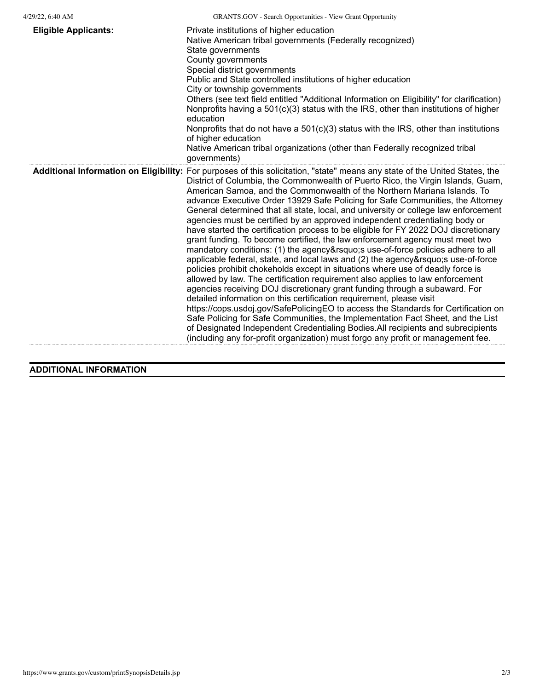| <b>Eligible Applicants:</b> | Private institutions of higher education<br>Native American tribal governments (Federally recognized)<br>State governments<br>County governments<br>Special district governments<br>Public and State controlled institutions of higher education<br>City or township governments<br>Others (see text field entitled "Additional Information on Eligibility" for clarification)<br>Nonprofits having a 501(c)(3) status with the IRS, other than institutions of higher<br>education<br>Nonprofits that do not have a $501(c)(3)$ status with the IRS, other than institutions<br>of higher education<br>Native American tribal organizations (other than Federally recognized tribal<br>governments)                                                                                                                                                                                                                                                                                                                                                                                                                                                                                                                                                                                                                                                                                                                                                                                                                                                              |
|-----------------------------|-------------------------------------------------------------------------------------------------------------------------------------------------------------------------------------------------------------------------------------------------------------------------------------------------------------------------------------------------------------------------------------------------------------------------------------------------------------------------------------------------------------------------------------------------------------------------------------------------------------------------------------------------------------------------------------------------------------------------------------------------------------------------------------------------------------------------------------------------------------------------------------------------------------------------------------------------------------------------------------------------------------------------------------------------------------------------------------------------------------------------------------------------------------------------------------------------------------------------------------------------------------------------------------------------------------------------------------------------------------------------------------------------------------------------------------------------------------------------------------------------------------------------------------------------------------------|
|                             | Additional Information on Eligibility: For purposes of this solicitation, "state" means any state of the United States, the<br>District of Columbia, the Commonwealth of Puerto Rico, the Virgin Islands, Guam,<br>American Samoa, and the Commonwealth of the Northern Mariana Islands. To<br>advance Executive Order 13929 Safe Policing for Safe Communities, the Attorney<br>General determined that all state, local, and university or college law enforcement<br>agencies must be certified by an approved independent credentialing body or<br>have started the certification process to be eligible for FY 2022 DOJ discretionary<br>grant funding. To become certified, the law enforcement agency must meet two<br>mandatory conditions: (1) the agency' suse-of-force policies adhere to all<br>applicable federal, state, and local laws and (2) the agency' suse-of-force<br>policies prohibit chokeholds except in situations where use of deadly force is<br>allowed by law. The certification requirement also applies to law enforcement<br>agencies receiving DOJ discretionary grant funding through a subaward. For<br>detailed information on this certification requirement, please visit<br>https://cops.usdoj.gov/SafePolicingEO to access the Standards for Certification on<br>Safe Policing for Safe Communities, the Implementation Fact Sheet, and the List<br>of Designated Independent Credentialing Bodies. All recipients and subrecipients<br>(including any for-profit organization) must forgo any profit or management fee. |

## **ADDITIONAL INFORMATION**